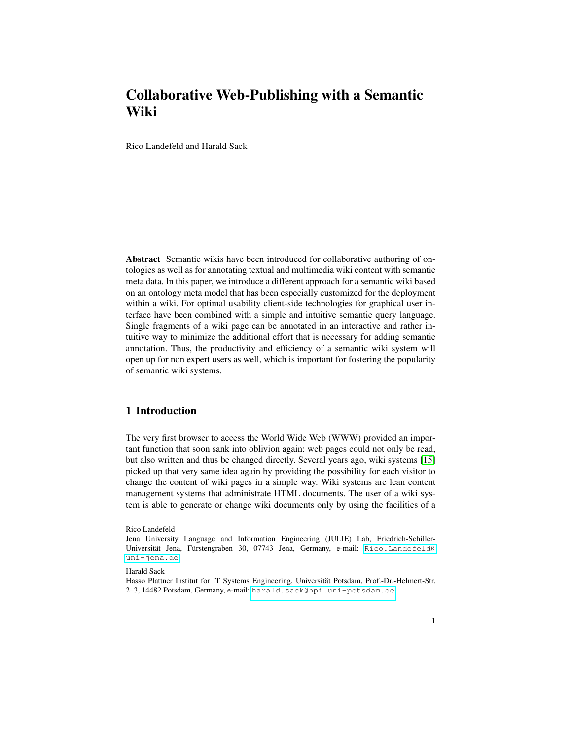# Collaborative Web-Publishing with a Semantic Wiki

Rico Landefeld and Harald Sack

Abstract Semantic wikis have been introduced for collaborative authoring of ontologies as well as for annotating textual and multimedia wiki content with semantic meta data. In this paper, we introduce a different approach for a semantic wiki based on an ontology meta model that has been especially customized for the deployment within a wiki. For optimal usability client-side technologies for graphical user interface have been combined with a simple and intuitive semantic query language. Single fragments of a wiki page can be annotated in an interactive and rather intuitive way to minimize the additional effort that is necessary for adding semantic annotation. Thus, the productivity and efficiency of a semantic wiki system will open up for non expert users as well, which is important for fostering the popularity of semantic wiki systems.

# 1 Introduction

The very first browser to access the World Wide Web (WWW) provided an important function that soon sank into oblivion again: web pages could not only be read, but also written and thus be changed directly. Several years ago, wiki systems [\[15\]](#page-11-0) picked up that very same idea again by providing the possibility for each visitor to change the content of wiki pages in a simple way. Wiki systems are lean content management systems that administrate HTML documents. The user of a wiki system is able to generate or change wiki documents only by using the facilities of a

Rico Landefeld

Jena University Language and Information Engineering (JULIE) Lab, Friedrich-Schiller-Universität Jena, Fürstengraben 30, 07743 Jena, Germany, e-mail: [Rico.Landefeld@](Rico.Landefeld@uni-jena.de) [uni-jena.de](Rico.Landefeld@uni-jena.de)

Harald Sack

Hasso Plattner Institut for IT Systems Engineering, Universität Potsdam, Prof.-Dr.-Helmert-Str. 2–3, 14482 Potsdam, Germany, e-mail: <harald.sack@hpi.uni-potsdam.de>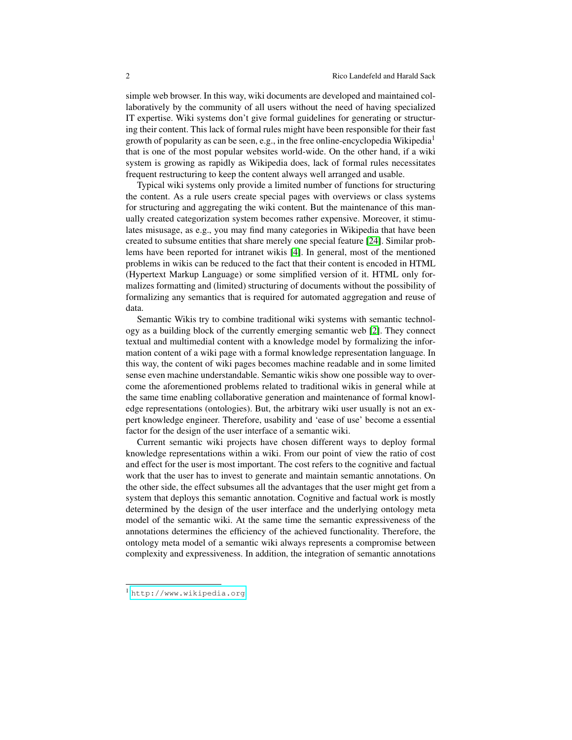simple web browser. In this way, wiki documents are developed and maintained collaboratively by the community of all users without the need of having specialized IT expertise. Wiki systems don't give formal guidelines for generating or structuring their content. This lack of formal rules might have been responsible for their fast growth of popularity as can be seen, e.g., in the free online-encyclopedia Wikipedia<sup>1</sup> that is one of the most popular websites world-wide. On the other hand, if a wiki system is growing as rapidly as Wikipedia does, lack of formal rules necessitates frequent restructuring to keep the content always well arranged and usable.

Typical wiki systems only provide a limited number of functions for structuring the content. As a rule users create special pages with overviews or class systems for structuring and aggregating the wiki content. But the maintenance of this manually created categorization system becomes rather expensive. Moreover, it stimulates misusage, as e.g., you may find many categories in Wikipedia that have been created to subsume entities that share merely one special feature [\[24\]](#page-12-0). Similar problems have been reported for intranet wikis [\[4\]](#page-11-1). In general, most of the mentioned problems in wikis can be reduced to the fact that their content is encoded in HTML (Hypertext Markup Language) or some simplified version of it. HTML only formalizes formatting and (limited) structuring of documents without the possibility of formalizing any semantics that is required for automated aggregation and reuse of data.

Semantic Wikis try to combine traditional wiki systems with semantic technology as a building block of the currently emerging semantic web [\[2\]](#page-11-2). They connect textual and multimedial content with a knowledge model by formalizing the information content of a wiki page with a formal knowledge representation language. In this way, the content of wiki pages becomes machine readable and in some limited sense even machine understandable. Semantic wikis show one possible way to overcome the aforementioned problems related to traditional wikis in general while at the same time enabling collaborative generation and maintenance of formal knowledge representations (ontologies). But, the arbitrary wiki user usually is not an expert knowledge engineer. Therefore, usability and 'ease of use' become a essential factor for the design of the user interface of a semantic wiki.

Current semantic wiki projects have chosen different ways to deploy formal knowledge representations within a wiki. From our point of view the ratio of cost and effect for the user is most important. The cost refers to the cognitive and factual work that the user has to invest to generate and maintain semantic annotations. On the other side, the effect subsumes all the advantages that the user might get from a system that deploys this semantic annotation. Cognitive and factual work is mostly determined by the design of the user interface and the underlying ontology meta model of the semantic wiki. At the same time the semantic expressiveness of the annotations determines the efficiency of the achieved functionality. Therefore, the ontology meta model of a semantic wiki always represents a compromise between complexity and expressiveness. In addition, the integration of semantic annotations

<sup>1</sup> <http://www.wikipedia.org>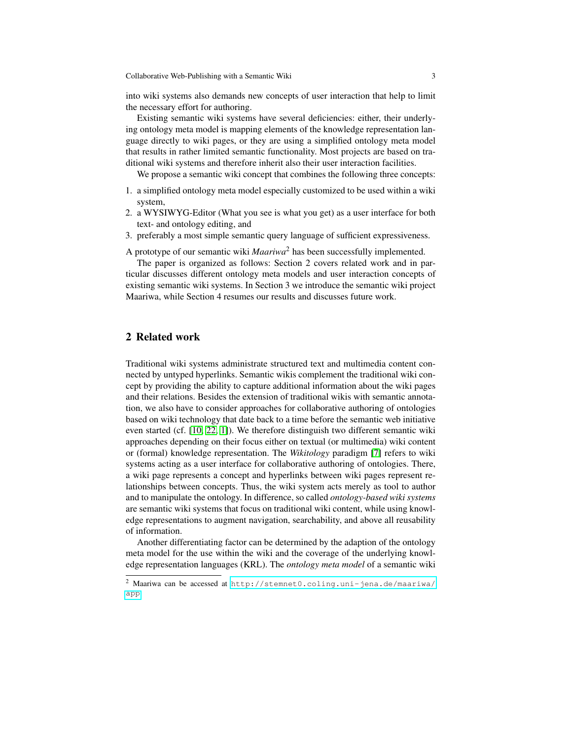into wiki systems also demands new concepts of user interaction that help to limit the necessary effort for authoring.

Existing semantic wiki systems have several deficiencies: either, their underlying ontology meta model is mapping elements of the knowledge representation language directly to wiki pages, or they are using a simplified ontology meta model that results in rather limited semantic functionality. Most projects are based on traditional wiki systems and therefore inherit also their user interaction facilities.

We propose a semantic wiki concept that combines the following three concepts:

- 1. a simplified ontology meta model especially customized to be used within a wiki system,
- 2. a WYSIWYG-Editor (What you see is what you get) as a user interface for both text- and ontology editing, and
- 3. preferably a most simple semantic query language of sufficient expressiveness.

A prototype of our semantic wiki *Maariwa*<sup>2</sup> has been successfully implemented.

The paper is organized as follows: Section 2 covers related work and in particular discusses different ontology meta models and user interaction concepts of existing semantic wiki systems. In Section 3 we introduce the semantic wiki project Maariwa, while Section 4 resumes our results and discusses future work.

### 2 Related work

Traditional wiki systems administrate structured text and multimedia content connected by untyped hyperlinks. Semantic wikis complement the traditional wiki concept by providing the ability to capture additional information about the wiki pages and their relations. Besides the extension of traditional wikis with semantic annotation, we also have to consider approaches for collaborative authoring of ontologies based on wiki technology that date back to a time before the semantic web initiative even started (cf. [\[10,](#page-11-3) [22,](#page-12-1) [1\]](#page-11-4)). We therefore distinguish two different semantic wiki approaches depending on their focus either on textual (or multimedia) wiki content or (formal) knowledge representation. The *Wikitology* paradigm [\[7\]](#page-11-5) refers to wiki systems acting as a user interface for collaborative authoring of ontologies. There, a wiki page represents a concept and hyperlinks between wiki pages represent relationships between concepts. Thus, the wiki system acts merely as tool to author and to manipulate the ontology. In difference, so called *ontology-based wiki systems* are semantic wiki systems that focus on traditional wiki content, while using knowledge representations to augment navigation, searchability, and above all reusability of information.

Another differentiating factor can be determined by the adaption of the ontology meta model for the use within the wiki and the coverage of the underlying knowledge representation languages (KRL). The *ontology meta model* of a semantic wiki

<sup>2</sup> Maariwa can be accessed at [http://stemnet0.coling.uni-jena.de/maariwa/](http://stemnet0.coling.uni-jena.de/maariwa/app) [app](http://stemnet0.coling.uni-jena.de/maariwa/app)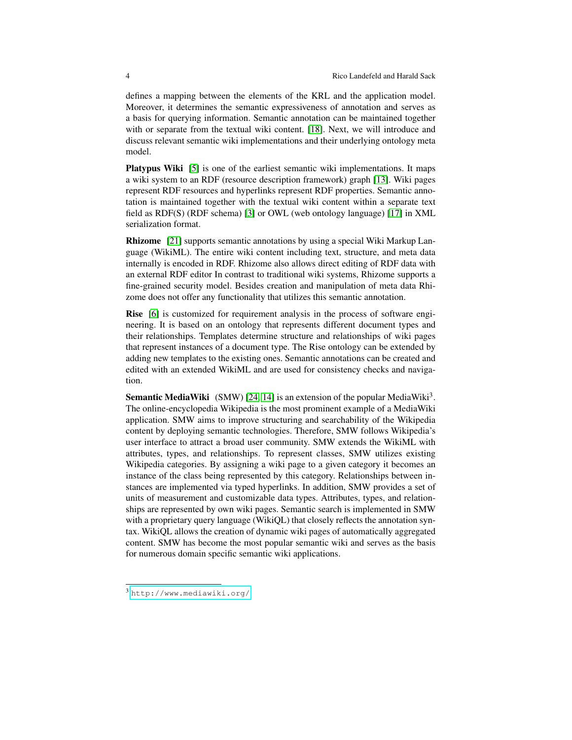defines a mapping between the elements of the KRL and the application model. Moreover, it determines the semantic expressiveness of annotation and serves as a basis for querying information. Semantic annotation can be maintained together with or separate from the textual wiki content. [\[18\]](#page-11-6). Next, we will introduce and discuss relevant semantic wiki implementations and their underlying ontology meta model.

Platypus Wiki [\[5\]](#page-11-7) is one of the earliest semantic wiki implementations. It maps a wiki system to an RDF (resource description framework) graph [\[13\]](#page-11-8). Wiki pages represent RDF resources and hyperlinks represent RDF properties. Semantic annotation is maintained together with the textual wiki content within a separate text field as RDF(S) (RDF schema) [\[3\]](#page-11-9) or OWL (web ontology language) [\[17\]](#page-11-10) in XML serialization format.

Rhizome [\[21\]](#page-12-2) supports semantic annotations by using a special Wiki Markup Language (WikiML). The entire wiki content including text, structure, and meta data internally is encoded in RDF. Rhizome also allows direct editing of RDF data with an external RDF editor In contrast to traditional wiki systems, Rhizome supports a fine-grained security model. Besides creation and manipulation of meta data Rhizome does not offer any functionality that utilizes this semantic annotation.

Rise [\[6\]](#page-11-11) is customized for requirement analysis in the process of software engineering. It is based on an ontology that represents different document types and their relationships. Templates determine structure and relationships of wiki pages that represent instances of a document type. The Rise ontology can be extended by adding new templates to the existing ones. Semantic annotations can be created and edited with an extended WikiML and are used for consistency checks and navigation.

**Semantic MediaWiki** (SMW) [\[24,](#page-12-0) [14\]](#page-11-12) is an extension of the popular MediaWiki<sup>3</sup>. The online-encyclopedia Wikipedia is the most prominent example of a MediaWiki application. SMW aims to improve structuring and searchability of the Wikipedia content by deploying semantic technologies. Therefore, SMW follows Wikipedia's user interface to attract a broad user community. SMW extends the WikiML with attributes, types, and relationships. To represent classes, SMW utilizes existing Wikipedia categories. By assigning a wiki page to a given category it becomes an instance of the class being represented by this category. Relationships between instances are implemented via typed hyperlinks. In addition, SMW provides a set of units of measurement and customizable data types. Attributes, types, and relationships are represented by own wiki pages. Semantic search is implemented in SMW with a proprietary query language (WikiQL) that closely reflects the annotation syntax. WikiQL allows the creation of dynamic wiki pages of automatically aggregated content. SMW has become the most popular semantic wiki and serves as the basis for numerous domain specific semantic wiki applications.

<sup>3</sup> <http://www.mediawiki.org/>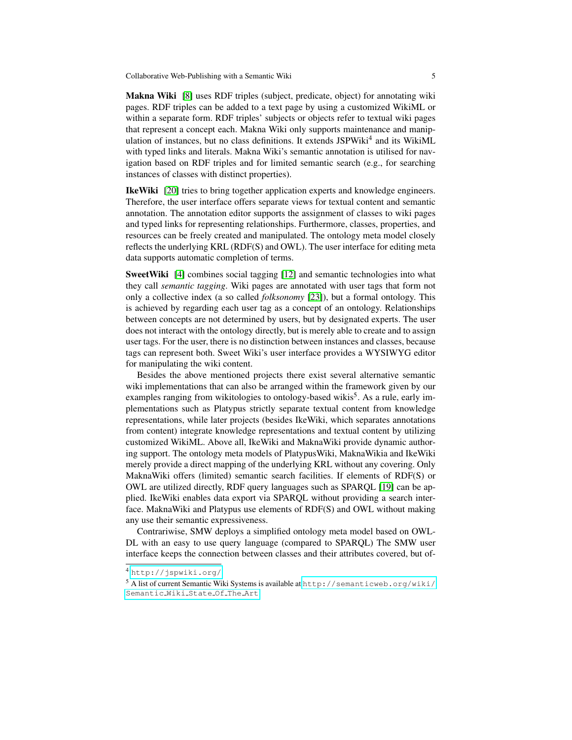Makna Wiki [\[8\]](#page-11-13) uses RDF triples (subject, predicate, object) for annotating wiki pages. RDF triples can be added to a text page by using a customized WikiML or within a separate form. RDF triples' subjects or objects refer to textual wiki pages that represent a concept each. Makna Wiki only supports maintenance and manipulation of instances, but no class definitions. It extends JSPWiki<sup>4</sup> and its WikiML with typed links and literals. Makna Wiki's semantic annotation is utilised for navigation based on RDF triples and for limited semantic search (e.g., for searching instances of classes with distinct properties).

IkeWiki [\[20\]](#page-12-3) tries to bring together application experts and knowledge engineers. Therefore, the user interface offers separate views for textual content and semantic annotation. The annotation editor supports the assignment of classes to wiki pages and typed links for representing relationships. Furthermore, classes, properties, and resources can be freely created and manipulated. The ontology meta model closely reflects the underlying KRL (RDF(S) and OWL). The user interface for editing meta data supports automatic completion of terms.

SweetWiki [\[4\]](#page-11-1) combines social tagging [\[12\]](#page-11-14) and semantic technologies into what they call *semantic tagging*. Wiki pages are annotated with user tags that form not only a collective index (a so called *folksonomy* [\[23\]](#page-12-4)), but a formal ontology. This is achieved by regarding each user tag as a concept of an ontology. Relationships between concepts are not determined by users, but by designated experts. The user does not interact with the ontology directly, but is merely able to create and to assign user tags. For the user, there is no distinction between instances and classes, because tags can represent both. Sweet Wiki's user interface provides a WYSIWYG editor for manipulating the wiki content.

Besides the above mentioned projects there exist several alternative semantic wiki implementations that can also be arranged within the framework given by our examples ranging from wikitologies to ontology-based wikis<sup>5</sup>. As a rule, early implementations such as Platypus strictly separate textual content from knowledge representations, while later projects (besides IkeWiki, which separates annotations from content) integrate knowledge representations and textual content by utilizing customized WikiML. Above all, IkeWiki and MaknaWiki provide dynamic authoring support. The ontology meta models of PlatypusWiki, MaknaWikia and IkeWiki merely provide a direct mapping of the underlying KRL without any covering. Only MaknaWiki offers (limited) semantic search facilities. If elements of RDF(S) or OWL are utilized directly, RDF query languages such as SPARQL [\[19\]](#page-11-15) can be applied. IkeWiki enables data export via SPARQL without providing a search interface. MaknaWiki and Platypus use elements of RDF(S) and OWL without making any use their semantic expressiveness.

Contrariwise, SMW deploys a simplified ontology meta model based on OWL-DL with an easy to use query language (compared to SPARQL) The SMW user interface keeps the connection between classes and their attributes covered, but of-

<sup>4</sup> <http://jspwiki.org/>

 $5$  A list of current Semantic Wiki Systems is available at [http://semanticweb.org/wiki/](http://semanticweb.org/wiki/Semantic_Wiki_State_Of_The_Art) [Semantic](http://semanticweb.org/wiki/Semantic_Wiki_State_Of_The_Art) Wiki State Of The Art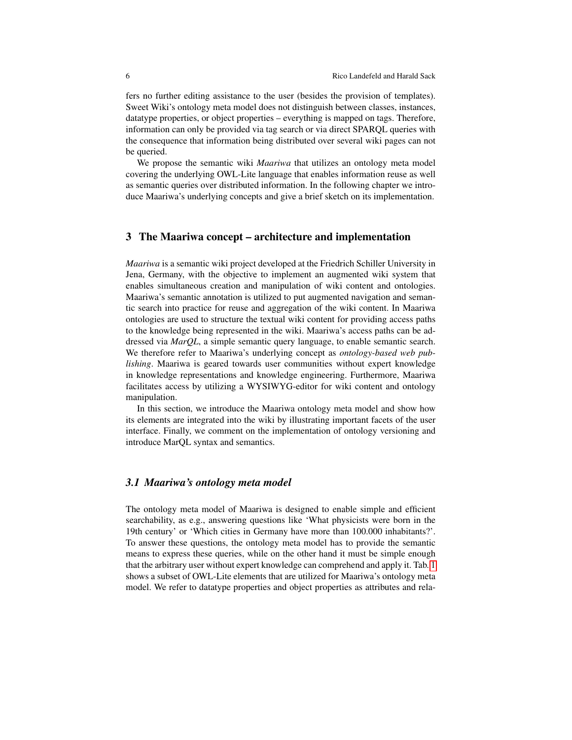fers no further editing assistance to the user (besides the provision of templates). Sweet Wiki's ontology meta model does not distinguish between classes, instances, datatype properties, or object properties – everything is mapped on tags. Therefore, information can only be provided via tag search or via direct SPARQL queries with the consequence that information being distributed over several wiki pages can not be queried.

We propose the semantic wiki *Maariwa* that utilizes an ontology meta model covering the underlying OWL-Lite language that enables information reuse as well as semantic queries over distributed information. In the following chapter we introduce Maariwa's underlying concepts and give a brief sketch on its implementation.

#### 3 The Maariwa concept – architecture and implementation

*Maariwa* is a semantic wiki project developed at the Friedrich Schiller University in Jena, Germany, with the objective to implement an augmented wiki system that enables simultaneous creation and manipulation of wiki content and ontologies. Maariwa's semantic annotation is utilized to put augmented navigation and semantic search into practice for reuse and aggregation of the wiki content. In Maariwa ontologies are used to structure the textual wiki content for providing access paths to the knowledge being represented in the wiki. Maariwa's access paths can be addressed via *MarQL*, a simple semantic query language, to enable semantic search. We therefore refer to Maariwa's underlying concept as *ontology-based web publishing*. Maariwa is geared towards user communities without expert knowledge in knowledge representations and knowledge engineering. Furthermore, Maariwa facilitates access by utilizing a WYSIWYG-editor for wiki content and ontology manipulation.

In this section, we introduce the Maariwa ontology meta model and show how its elements are integrated into the wiki by illustrating important facets of the user interface. Finally, we comment on the implementation of ontology versioning and introduce MarQL syntax and semantics.

#### *3.1 Maariwa's ontology meta model*

The ontology meta model of Maariwa is designed to enable simple and efficient searchability, as e.g., answering questions like 'What physicists were born in the 19th century' or 'Which cities in Germany have more than 100.000 inhabitants?'. To answer these questions, the ontology meta model has to provide the semantic means to express these queries, while on the other hand it must be simple enough that the arbitrary user without expert knowledge can comprehend and apply it. Tab. [1](#page-6-0) shows a subset of OWL-Lite elements that are utilized for Maariwa's ontology meta model. We refer to datatype properties and object properties as attributes and rela-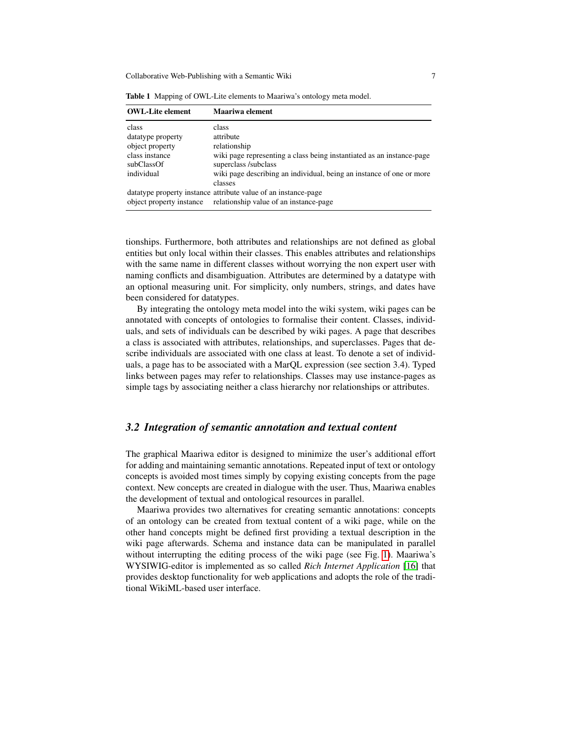| <b>OWL-Lite element</b>                                                                     | Maariwa element                                                                                                                                                                                                        |
|---------------------------------------------------------------------------------------------|------------------------------------------------------------------------------------------------------------------------------------------------------------------------------------------------------------------------|
| class<br>datatype property<br>object property<br>class instance<br>subClassOf<br>individual | class<br>attribute<br>relationship<br>wiki page representing a class being instantiated as an instance-page<br>superclass /subclass<br>wiki page describing an individual, being an instance of one or more<br>classes |
| object property instance                                                                    | data type property instance attribute value of an instance-page<br>relationship value of an instance-page                                                                                                              |

<span id="page-6-0"></span>Table 1 Mapping of OWL-Lite elements to Maariwa's ontology meta model.

tionships. Furthermore, both attributes and relationships are not defined as global entities but only local within their classes. This enables attributes and relationships with the same name in different classes without worrying the non expert user with naming conflicts and disambiguation. Attributes are determined by a datatype with an optional measuring unit. For simplicity, only numbers, strings, and dates have been considered for datatypes.

By integrating the ontology meta model into the wiki system, wiki pages can be annotated with concepts of ontologies to formalise their content. Classes, individuals, and sets of individuals can be described by wiki pages. A page that describes a class is associated with attributes, relationships, and superclasses. Pages that describe individuals are associated with one class at least. To denote a set of individuals, a page has to be associated with a MarQL expression (see section 3.4). Typed links between pages may refer to relationships. Classes may use instance-pages as simple tags by associating neither a class hierarchy nor relationships or attributes.

## *3.2 Integration of semantic annotation and textual content*

The graphical Maariwa editor is designed to minimize the user's additional effort for adding and maintaining semantic annotations. Repeated input of text or ontology concepts is avoided most times simply by copying existing concepts from the page context. New concepts are created in dialogue with the user. Thus, Maariwa enables the development of textual and ontological resources in parallel.

Maariwa provides two alternatives for creating semantic annotations: concepts of an ontology can be created from textual content of a wiki page, while on the other hand concepts might be defined first providing a textual description in the wiki page afterwards. Schema and instance data can be manipulated in parallel without interrupting the editing process of the wiki page (see Fig. [1\)](#page-7-0). Maariwa's WYSIWIG-editor is implemented as so called *Rich Internet Application* [\[16\]](#page-11-16) that provides desktop functionality for web applications and adopts the role of the traditional WikiML-based user interface.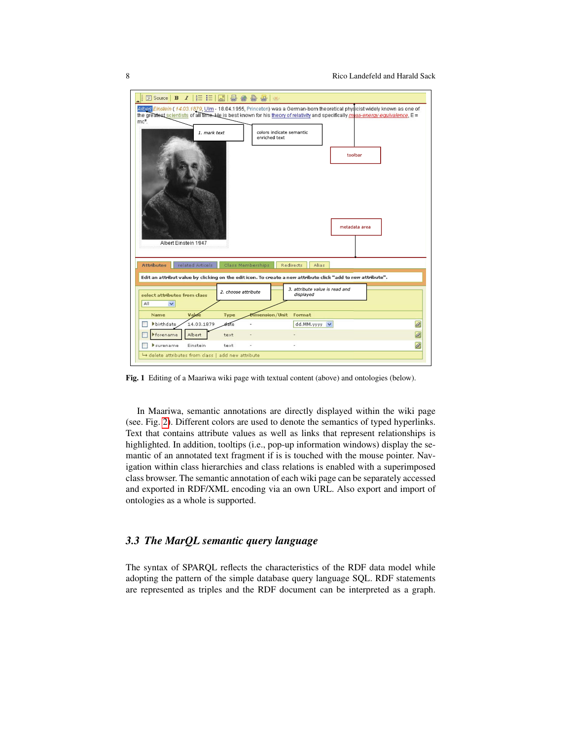

<span id="page-7-0"></span>Fig. 1 Editing of a Maariwa wiki page with textual content (above) and ontologies (below).

In Maariwa, semantic annotations are directly displayed within the wiki page (see. Fig. [2\)](#page-8-0). Different colors are used to denote the semantics of typed hyperlinks. Text that contains attribute values as well as links that represent relationships is highlighted. In addition, tooltips (i.e., pop-up information windows) display the semantic of an annotated text fragment if is is touched with the mouse pointer. Navigation within class hierarchies and class relations is enabled with a superimposed class browser. The semantic annotation of each wiki page can be separately accessed and exported in RDF/XML encoding via an own URL. Also export and import of ontologies as a whole is supported.

# *3.3 The MarQL semantic query language*

The syntax of SPARQL reflects the characteristics of the RDF data model while adopting the pattern of the simple database query language SQL. RDF statements are represented as triples and the RDF document can be interpreted as a graph.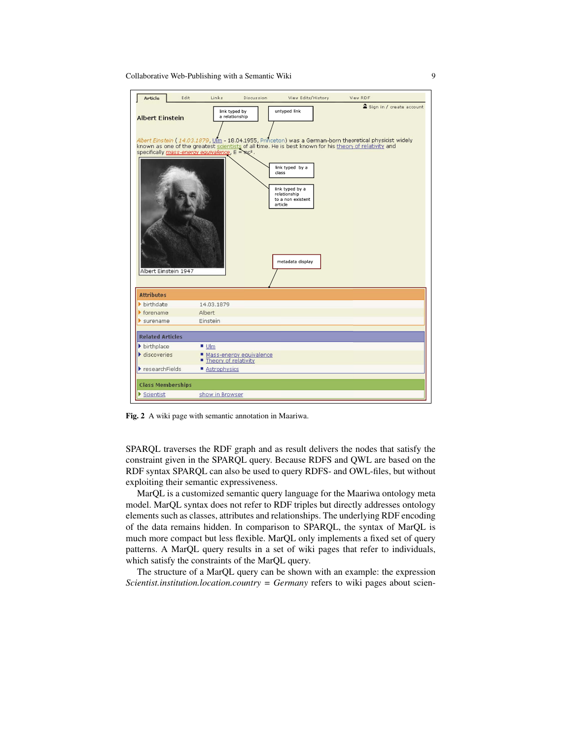Collaborative Web-Publishing with a Semantic Wiki 9



<span id="page-8-0"></span>Fig. 2 A wiki page with semantic annotation in Maariwa.

SPARQL traverses the RDF graph and as result delivers the nodes that satisfy the constraint given in the SPARQL query. Because RDFS and QWL are based on the RDF syntax SPARQL can also be used to query RDFS- and OWL-files, but without exploiting their semantic expressiveness.

MarQL is a customized semantic query language for the Maariwa ontology meta model. MarQL syntax does not refer to RDF triples but directly addresses ontology elements such as classes, attributes and relationships. The underlying RDF encoding of the data remains hidden. In comparison to SPARQL, the syntax of MarQL is much more compact but less flexible. MarQL only implements a fixed set of query patterns. A MarQL query results in a set of wiki pages that refer to individuals, which satisfy the constraints of the MarQL query.

The structure of a MarQL query can be shown with an example: the expression *Scientist.institution.location.country = Germany* refers to wiki pages about scien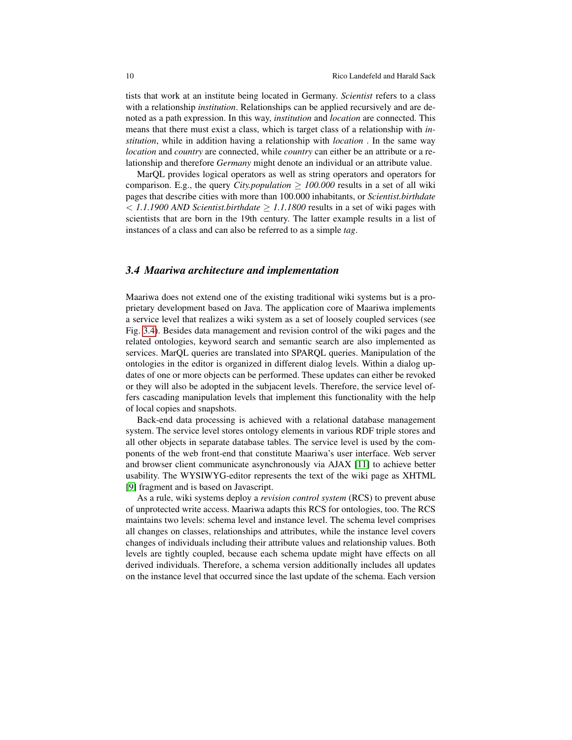tists that work at an institute being located in Germany. *Scientist* refers to a class with a relationship *institution*. Relationships can be applied recursively and are denoted as a path expression. In this way, *institution* and *location* are connected. This means that there must exist a class, which is target class of a relationship with *institution*, while in addition having a relationship with *location* . In the same way *location* and *country* are connected, while *country* can either be an attribute or a relationship and therefore *Germany* might denote an individual or an attribute value.

MarQL provides logical operators as well as string operators and operators for comparison. E.g., the query *City.population*  $\geq 100.000$  results in a set of all wiki pages that describe cities with more than 100.000 inhabitants, or *Scientist.birthdate*  $\langle$  1.1.1900 AND Scientist.birthdate  $\geq$  1.1.1800 results in a set of wiki pages with scientists that are born in the 19th century. The latter example results in a list of instances of a class and can also be referred to as a simple *tag*.

#### *3.4 Maariwa architecture and implementation*

Maariwa does not extend one of the existing traditional wiki systems but is a proprietary development based on Java. The application core of Maariwa implements a service level that realizes a wiki system as a set of loosely coupled services (see Fig. [3.4\)](#page-10-0). Besides data management and revision control of the wiki pages and the related ontologies, keyword search and semantic search are also implemented as services. MarQL queries are translated into SPARQL queries. Manipulation of the ontologies in the editor is organized in different dialog levels. Within a dialog updates of one or more objects can be performed. These updates can either be revoked or they will also be adopted in the subjacent levels. Therefore, the service level offers cascading manipulation levels that implement this functionality with the help of local copies and snapshots.

Back-end data processing is achieved with a relational database management system. The service level stores ontology elements in various RDF triple stores and all other objects in separate database tables. The service level is used by the components of the web front-end that constitute Maariwa's user interface. Web server and browser client communicate asynchronously via AJAX [\[11\]](#page-11-17) to achieve better usability. The WYSIWYG-editor represents the text of the wiki page as XHTML [\[9\]](#page-11-18) fragment and is based on Javascript.

As a rule, wiki systems deploy a *revision control system* (RCS) to prevent abuse of unprotected write access. Maariwa adapts this RCS for ontologies, too. The RCS maintains two levels: schema level and instance level. The schema level comprises all changes on classes, relationships and attributes, while the instance level covers changes of individuals including their attribute values and relationship values. Both levels are tightly coupled, because each schema update might have effects on all derived individuals. Therefore, a schema version additionally includes all updates on the instance level that occurred since the last update of the schema. Each version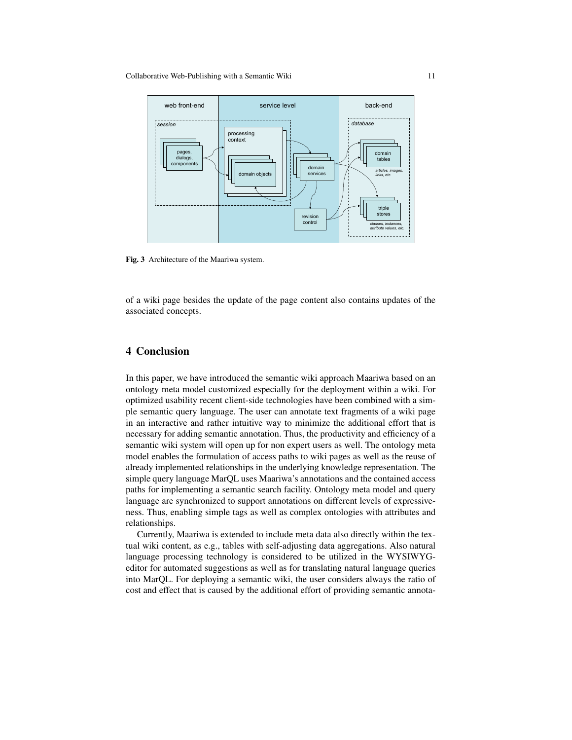

<span id="page-10-0"></span>Fig. 3 Architecture of the Maariwa system.

of a wiki page besides the update of the page content also contains updates of the associated concepts.

# 4 Conclusion

In this paper, we have introduced the semantic wiki approach Maariwa based on an ontology meta model customized especially for the deployment within a wiki. For optimized usability recent client-side technologies have been combined with a simple semantic query language. The user can annotate text fragments of a wiki page in an interactive and rather intuitive way to minimize the additional effort that is necessary for adding semantic annotation. Thus, the productivity and efficiency of a semantic wiki system will open up for non expert users as well. The ontology meta model enables the formulation of access paths to wiki pages as well as the reuse of already implemented relationships in the underlying knowledge representation. The simple query language MarQL uses Maariwa's annotations and the contained access paths for implementing a semantic search facility. Ontology meta model and query language are synchronized to support annotations on different levels of expressiveness. Thus, enabling simple tags as well as complex ontologies with attributes and relationships.

Currently, Maariwa is extended to include meta data also directly within the textual wiki content, as e.g., tables with self-adjusting data aggregations. Also natural language processing technology is considered to be utilized in the WYSIWYGeditor for automated suggestions as well as for translating natural language queries into MarQL. For deploying a semantic wiki, the user considers always the ratio of cost and effect that is caused by the additional effort of providing semantic annota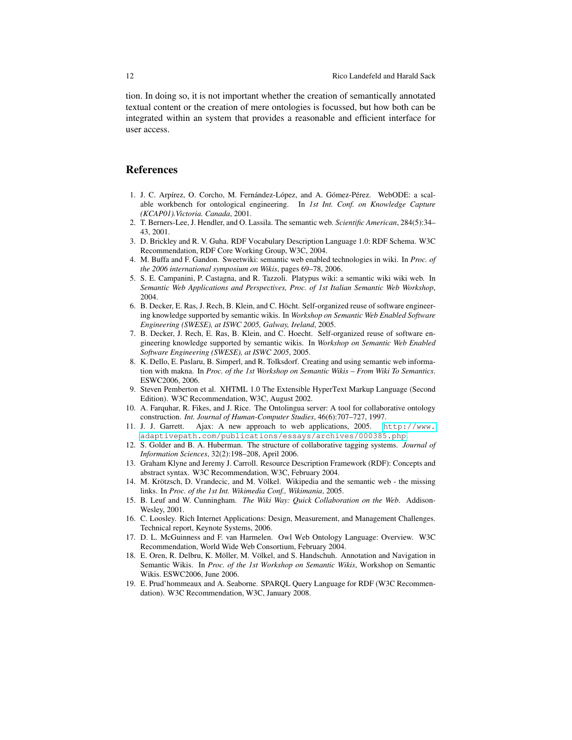tion. In doing so, it is not important whether the creation of semantically annotated textual content or the creation of mere ontologies is focussed, but how both can be integrated within an system that provides a reasonable and efficient interface for user access.

### References

- <span id="page-11-4"></span>1. J. C. Arpírez, O. Corcho, M. Fernández-López, and A. Gómez-Pérez. WebODE: a scalable workbench for ontological engineering. In *1st Int. Conf. on Knowledge Capture (KCAP01).Victoria. Canada*, 2001.
- <span id="page-11-2"></span>2. T. Berners-Lee, J. Hendler, and O. Lassila. The semantic web. *Scientific American*, 284(5):34– 43, 2001.
- <span id="page-11-9"></span>3. D. Brickley and R. V. Guha. RDF Vocabulary Description Language 1.0: RDF Schema. W3C Recommendation, RDF Core Working Group, W3C, 2004.
- <span id="page-11-1"></span>4. M. Buffa and F. Gandon. Sweetwiki: semantic web enabled technologies in wiki. In *Proc. of the 2006 international symposium on Wikis*, pages 69–78, 2006.
- <span id="page-11-7"></span>5. S. E. Campanini, P. Castagna, and R. Tazzoli. Platypus wiki: a semantic wiki wiki web. In *Semantic Web Applications and Perspectives, Proc. of 1st Italian Semantic Web Workshop*, 2004.
- <span id="page-11-11"></span>6. B. Decker, E. Ras, J. Rech, B. Klein, and C. Hocht. Self-organized reuse of software engineer- ¨ ing knowledge supported by semantic wikis. In *Workshop on Semantic Web Enabled Software Engineering (SWESE), at ISWC 2005, Galway, Ireland*, 2005.
- <span id="page-11-5"></span>7. B. Decker, J. Rech, E. Ras, B. Klein, and C. Hoecht. Self-organized reuse of software engineering knowledge supported by semantic wikis. In *Workshop on Semantic Web Enabled Software Engineering (SWESE), at ISWC 2005*, 2005.
- <span id="page-11-13"></span>8. K. Dello, E. Paslaru, B. Simperl, and R. Tolksdorf. Creating and using semantic web information with makna. In *Proc. of the 1st Workshop on Semantic Wikis – From Wiki To Semantics*. ESWC2006, 2006.
- <span id="page-11-18"></span>9. Steven Pemberton et al. XHTML 1.0 The Extensible HyperText Markup Language (Second Edition). W3C Recommendation, W3C, August 2002.
- <span id="page-11-3"></span>10. A. Farquhar, R. Fikes, and J. Rice. The Ontolingua server: A tool for collaborative ontology construction. *Int. Journal of Human-Computer Studies*, 46(6):707–727, 1997.
- <span id="page-11-17"></span>11. J. J. Garrett. Ajax: A new approach to web applications, 2005. [http://www.](http://www.adaptivepath.com/publications/essays/archives/000385.php) [adaptivepath.com/publications/essays/archives/000385.php](http://www.adaptivepath.com/publications/essays/archives/000385.php).
- <span id="page-11-14"></span>12. S. Golder and B. A. Huberman. The structure of collaborative tagging systems. *Journal of Information Sciences*, 32(2):198–208, April 2006.
- <span id="page-11-8"></span>13. Graham Klyne and Jeremy J. Carroll. Resource Description Framework (RDF): Concepts and abstract syntax. W3C Recommendation, W3C, February 2004.
- <span id="page-11-12"></span>14. M. Krötzsch, D. Vrandecic, and M. Völkel. Wikipedia and the semantic web - the missing links. In *Proc. of the 1st Int. Wikimedia Conf., Wikimania*, 2005.
- <span id="page-11-0"></span>15. B. Leuf and W. Cunningham. *The Wiki Way: Quick Collaboration on the Web*. Addison-Wesley, 2001.
- <span id="page-11-16"></span>16. C. Loosley. Rich Internet Applications: Design, Measurement, and Management Challenges. Technical report, Keynote Systems, 2006.
- <span id="page-11-10"></span>17. D. L. McGuinness and F. van Harmelen. Owl Web Ontology Language: Overview. W3C Recommendation, World Wide Web Consortium, February 2004.
- <span id="page-11-6"></span>18. E. Oren, R. Delbru, K. Möller, M. Völkel, and S. Handschuh. Annotation and Navigation in Semantic Wikis. In *Proc. of the 1st Workshop on Semantic Wikis*, Workshop on Semantic Wikis. ESWC2006, June 2006.
- <span id="page-11-15"></span>19. E. Prud'hommeaux and A. Seaborne. SPARQL Query Language for RDF (W3C Recommendation). W3C Recommendation, W3C, January 2008.